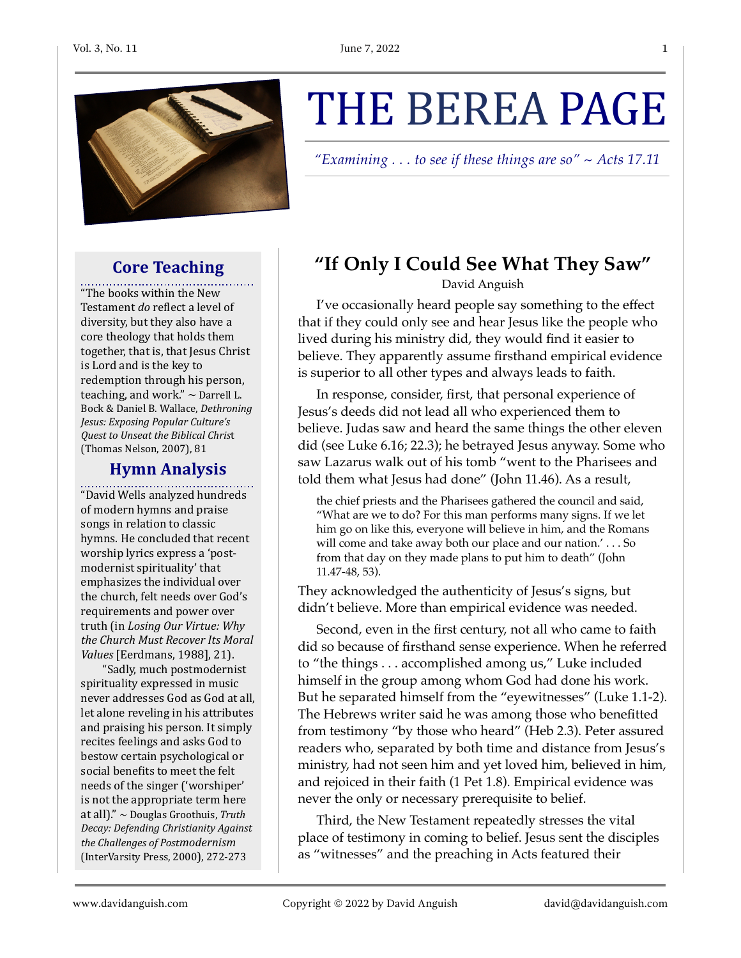

# **Core Teaching**

"The books within the New Testament *do* reflect a level of diversity, but they also have a core theology that holds them together, that is, that Jesus Christ is Lord and is the key to redemption through his person, teaching, and work."  $\sim$  Darrell L. Bock & Daniel B. Wallace, *Dethroning Jesus: Exposing Popular Culture's Quest to Unseat the Biblical Chris*t (Thomas Nelson, 2007), 81

### **Hymn Analysis**

. . . . . . . . . . . . . . . "David Wells analyzed hundreds of modern hymns and praise songs in relation to classic hymns. He concluded that recent worship lyrics express a 'postmodernist spirituality' that emphasizes the individual over the church, felt needs over God's requirements and power over truth (in *Losing Our Virtue: Why* the Church Must Recover Its Moral *Values* [Eerdmans, 1988], 21].

"Sadly, much postmodernist spirituality expressed in music never addresses God as God at all, let alone reveling in his attributes and praising his person. It simply recites feelings and asks God to bestow certain psychological or social benefits to meet the felt needs of the singer ('worshiper' is not the appropriate term here at all)." ~ Douglas Groothuis, Truth *Decay: Defending Christianity Against the Challenges of Postmodernism* (InterVarsity Press, 2000), 272-273

# THE BEREA PAGE

*"Examining . . . to see if these things are so" ~ Acts 17.11*

# **"If Only I Could See What They Saw"**

David Anguish

I've occasionally heard people say something to the effect that if they could only see and hear Jesus like the people who lived during his ministry did, they would find it easier to believe. They apparently assume firsthand empirical evidence is superior to all other types and always leads to faith.

In response, consider, first, that personal experience of Jesus's deeds did not lead all who experienced them to believe. Judas saw and heard the same things the other eleven did (see Luke 6.16; 22.3); he betrayed Jesus anyway. Some who saw Lazarus walk out of his tomb "went to the Pharisees and told them what Jesus had done" (John 11.46). As a result,

the chief priests and the Pharisees gathered the council and said, "What are we to do? For this man performs many signs. If we let him go on like this, everyone will believe in him, and the Romans will come and take away both our place and our nation.' . . . So from that day on they made plans to put him to death" (John 11.47-48, 53).

They acknowledged the authenticity of Jesus's signs, but didn't believe. More than empirical evidence was needed.

Second, even in the first century, not all who came to faith did so because of firsthand sense experience. When he referred to "the things . . . accomplished among us," Luke included himself in the group among whom God had done his work. But he separated himself from the "eyewitnesses" (Luke 1.1-2). The Hebrews writer said he was among those who benefitted from testimony "by those who heard" (Heb 2.3). Peter assured readers who, separated by both time and distance from Jesus's ministry, had not seen him and yet loved him, believed in him, and rejoiced in their faith (1 Pet 1.8). Empirical evidence was never the only or necessary prerequisite to belief.

Third, the New Testament repeatedly stresses the vital place of testimony in coming to belief. Jesus sent the disciples as "witnesses" and the preaching in Acts featured their